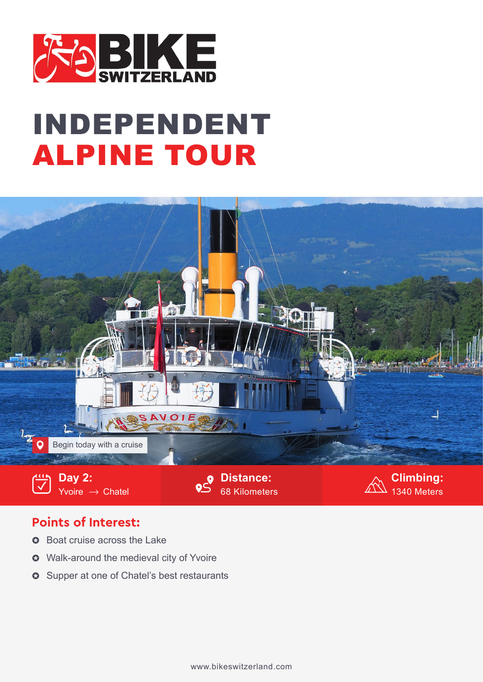

## INDEPENDENT ALPINE TOUR



## **Points of Interest:**

- Boat cruise across the Lake  $\Omega$
- Walk-around the medieval city of Yvoire  $\Omega$
- $\bullet~$  Supper at one of Chatel's best restaurants